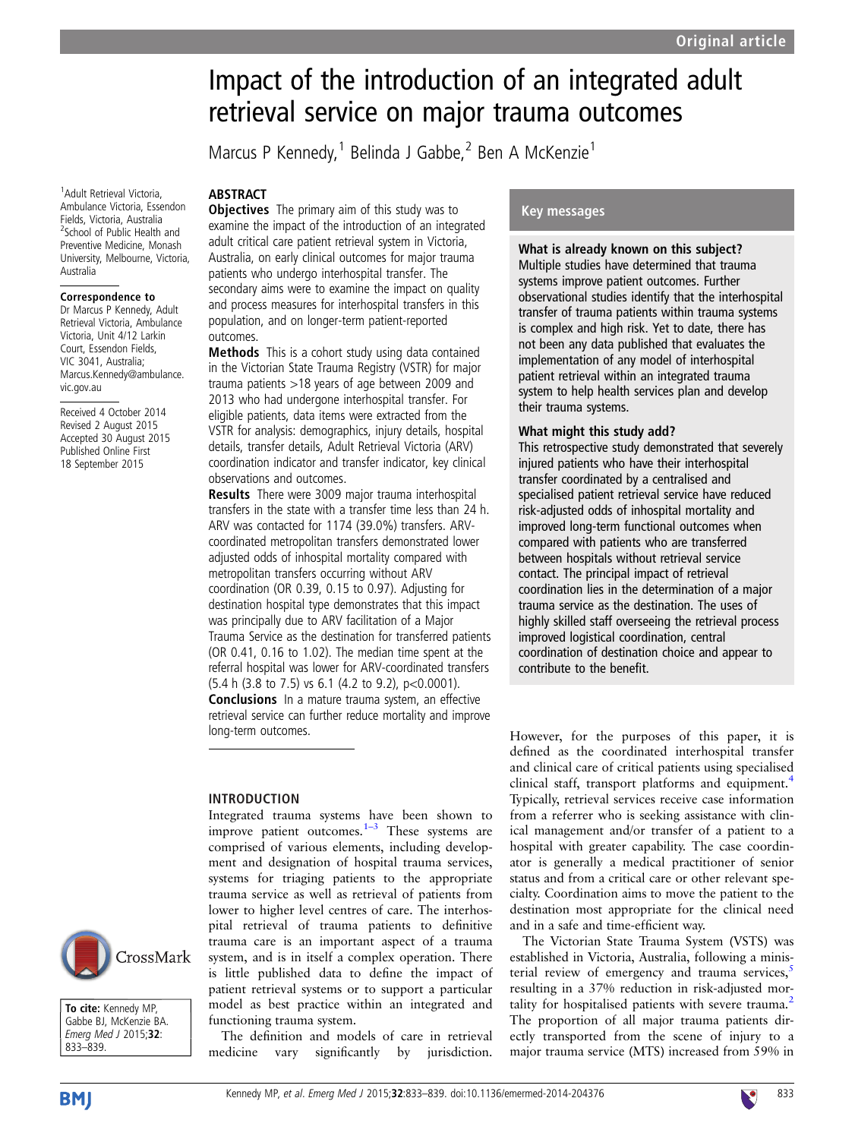# Impact of the introduction of an integrated adult retrieval service on major trauma outcomes

Marcus P Kennedy,<sup>1</sup> Belinda J Gabbe,<sup>2</sup> Ben A McKenzie<sup>1</sup>

1 Adult Retrieval Victoria, Ambulance Victoria, Essendon Fields, Victoria, Australia <sup>2</sup>School of Public Health and Preventive Medicine, Monash University, Melbourne, Victoria, Australia

#### Correspondence to

Dr Marcus P Kennedy, Adult Retrieval Victoria, Ambulance Victoria, Unit 4/12 Larkin Court, Essendon Fields, VIC 3041, Australia; Marcus.Kennedy@ambulance. vic.gov.au

Received 4 October 2014 Revised 2 August 2015 Accepted 30 August 2015 Published Online First 18 September 2015

# ABSTRACT

**Objectives** The primary aim of this study was to examine the impact of the introduction of an integrated adult critical care patient retrieval system in Victoria, Australia, on early clinical outcomes for major trauma patients who undergo interhospital transfer. The secondary aims were to examine the impact on quality and process measures for interhospital transfers in this population, and on longer-term patient-reported outcomes.

Methods This is a cohort study using data contained in the Victorian State Trauma Registry (VSTR) for major trauma patients >18 years of age between 2009 and 2013 who had undergone interhospital transfer. For eligible patients, data items were extracted from the VSTR for analysis: demographics, injury details, hospital details, transfer details, Adult Retrieval Victoria (ARV) coordination indicator and transfer indicator, key clinical observations and outcomes.

Results There were 3009 major trauma interhospital transfers in the state with a transfer time less than 24 h. ARV was contacted for 1174 (39.0%) transfers. ARVcoordinated metropolitan transfers demonstrated lower adjusted odds of inhospital mortality compared with metropolitan transfers occurring without ARV coordination (OR 0.39, 0.15 to 0.97). Adjusting for destination hospital type demonstrates that this impact was principally due to ARV facilitation of a Major Trauma Service as the destination for transferred patients (OR 0.41, 0.16 to 1.02). The median time spent at the referral hospital was lower for ARV-coordinated transfers (5.4 h (3.8 to 7.5) vs 6.1 (4.2 to 9.2), p<0.0001).

Conclusions In a mature trauma system, an effective retrieval service can further reduce mortality and improve long-term outcomes.

#### INTRODUCTION

Integrated trauma systems have been shown to improve patient outcomes. $1-3$  $1-3$  These systems are comprised of various elements, including development and designation of hospital trauma services, systems for triaging patients to the appropriate trauma service as well as retrieval of patients from lower to higher level centres of care. The interhospital retrieval of trauma patients to definitive trauma care is an important aspect of a trauma system, and is in itself a complex operation. There is little published data to define the impact of patient retrieval systems or to support a particular model as best practice within an integrated and functioning trauma system.

The definition and models of care in retrieval medicine vary significantly by jurisdiction.

## Key messages

What is already known on this subject? Multiple studies have determined that trauma systems improve patient outcomes. Further observational studies identify that the interhospital transfer of trauma patients within trauma systems is complex and high risk. Yet to date, there has not been any data published that evaluates the implementation of any model of interhospital patient retrieval within an integrated trauma system to help health services plan and develop their trauma systems.

#### What might this study add?

This retrospective study demonstrated that severely injured patients who have their interhospital transfer coordinated by a centralised and specialised patient retrieval service have reduced risk-adjusted odds of inhospital mortality and improved long-term functional outcomes when compared with patients who are transferred between hospitals without retrieval service contact. The principal impact of retrieval coordination lies in the determination of a major trauma service as the destination. The uses of highly skilled staff overseeing the retrieval process improved logistical coordination, central coordination of destination choice and appear to contribute to the benefit.

However, for the purposes of this paper, it is defined as the coordinated interhospital transfer and clinical care of critical patients using specialised clinical staff, transport platforms and equipment.<sup>[4](#page-6-0)</sup> Typically, retrieval services receive case information from a referrer who is seeking assistance with clinical management and/or transfer of a patient to a hospital with greater capability. The case coordinator is generally a medical practitioner of senior status and from a critical care or other relevant specialty. Coordination aims to move the patient to the destination most appropriate for the clinical need and in a safe and time-efficient way.

The Victorian State Trauma System (VSTS) was established in Victoria, Australia, following a ministerial review of emergency and trauma services, $\frac{s}{s}$ resulting in a 37% reduction in risk-adjusted mor-tality for hospitalised patients with severe trauma.<sup>[2](#page-6-0)</sup> The proportion of all major trauma patients directly transported from the scene of injury to a major trauma service (MTS) increased from 59% in



To cite: Kennedy MP, Gabbe BJ, McKenzie BA. Emerg Med J 2015;32: 833–839.

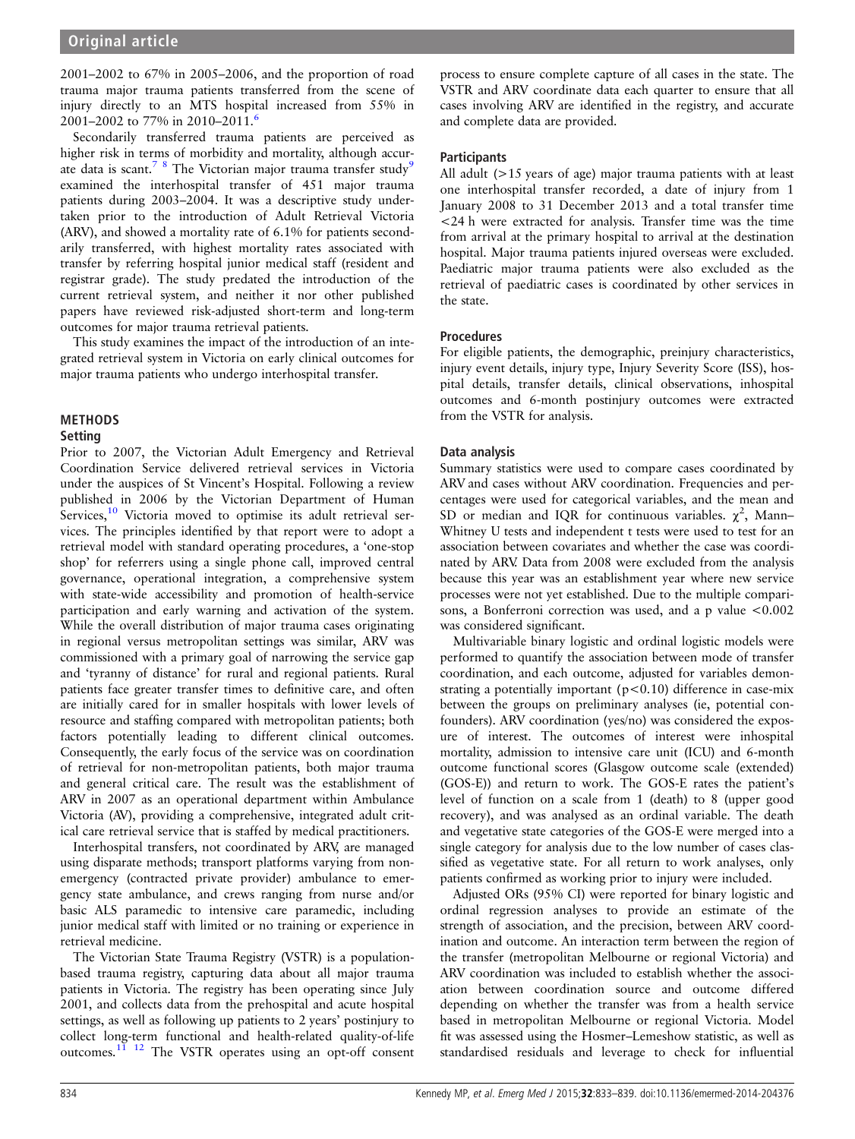2001–2002 to 67% in 2005–2006, and the proportion of road trauma major trauma patients transferred from the scene of injury directly to an MTS hospital increased from 55% in 2001–2002 to 77% in 2010–2011.<sup>[6](#page-6-0)</sup>

Secondarily transferred trauma patients are perceived as higher risk in terms of morbidity and mortality, although accurate data is scant.<sup>7</sup>  $8$  The Victorian major trauma transfer study<sup>[9](#page-6-0)</sup> examined the interhospital transfer of 451 major trauma patients during 2003–2004. It was a descriptive study undertaken prior to the introduction of Adult Retrieval Victoria (ARV), and showed a mortality rate of 6.1% for patients secondarily transferred, with highest mortality rates associated with transfer by referring hospital junior medical staff (resident and registrar grade). The study predated the introduction of the current retrieval system, and neither it nor other published papers have reviewed risk-adjusted short-term and long-term outcomes for major trauma retrieval patients.

This study examines the impact of the introduction of an integrated retrieval system in Victoria on early clinical outcomes for major trauma patients who undergo interhospital transfer.

## METHODS

#### Setting

Prior to 2007, the Victorian Adult Emergency and Retrieval Coordination Service delivered retrieval services in Victoria under the auspices of St Vincent's Hospital. Following a review published in 2006 by the Victorian Department of Human Services, $10$  Victoria moved to optimise its adult retrieval services. The principles identified by that report were to adopt a retrieval model with standard operating procedures, a 'one-stop shop' for referrers using a single phone call, improved central governance, operational integration, a comprehensive system with state-wide accessibility and promotion of health-service participation and early warning and activation of the system. While the overall distribution of major trauma cases originating in regional versus metropolitan settings was similar, ARV was commissioned with a primary goal of narrowing the service gap and 'tyranny of distance' for rural and regional patients. Rural patients face greater transfer times to definitive care, and often are initially cared for in smaller hospitals with lower levels of resource and staffing compared with metropolitan patients; both factors potentially leading to different clinical outcomes. Consequently, the early focus of the service was on coordination of retrieval for non-metropolitan patients, both major trauma and general critical care. The result was the establishment of ARV in 2007 as an operational department within Ambulance Victoria (AV), providing a comprehensive, integrated adult critical care retrieval service that is staffed by medical practitioners.

Interhospital transfers, not coordinated by ARV, are managed using disparate methods; transport platforms varying from nonemergency (contracted private provider) ambulance to emergency state ambulance, and crews ranging from nurse and/or basic ALS paramedic to intensive care paramedic, including junior medical staff with limited or no training or experience in retrieval medicine.

The Victorian State Trauma Registry (VSTR) is a populationbased trauma registry, capturing data about all major trauma patients in Victoria. The registry has been operating since July 2001, and collects data from the prehospital and acute hospital settings, as well as following up patients to 2 years' postinjury to collect long-term functional and health-related quality-of-life outcomes. $1\overline{1}$  12 The VSTR operates using an opt-off consent

process to ensure complete capture of all cases in the state. The VSTR and ARV coordinate data each quarter to ensure that all cases involving ARV are identified in the registry, and accurate and complete data are provided.

#### **Participants**

All adult (>15 years of age) major trauma patients with at least one interhospital transfer recorded, a date of injury from 1 January 2008 to 31 December 2013 and a total transfer time <24 h were extracted for analysis. Transfer time was the time from arrival at the primary hospital to arrival at the destination hospital. Major trauma patients injured overseas were excluded. Paediatric major trauma patients were also excluded as the retrieval of paediatric cases is coordinated by other services in the state.

## Procedures

For eligible patients, the demographic, preinjury characteristics, injury event details, injury type, Injury Severity Score (ISS), hospital details, transfer details, clinical observations, inhospital outcomes and 6-month postinjury outcomes were extracted from the VSTR for analysis.

## Data analysis

Summary statistics were used to compare cases coordinated by ARV and cases without ARV coordination. Frequencies and percentages were used for categorical variables, and the mean and SD or median and IQR for continuous variables.  $\chi^2$ , Mann-Whitney U tests and independent t tests were used to test for an association between covariates and whether the case was coordinated by ARV. Data from 2008 were excluded from the analysis because this year was an establishment year where new service processes were not yet established. Due to the multiple comparisons, a Bonferroni correction was used, and a p value <0.002 was considered significant.

Multivariable binary logistic and ordinal logistic models were performed to quantify the association between mode of transfer coordination, and each outcome, adjusted for variables demonstrating a potentially important  $(p<0.10)$  difference in case-mix between the groups on preliminary analyses (ie, potential confounders). ARV coordination (yes/no) was considered the exposure of interest. The outcomes of interest were inhospital mortality, admission to intensive care unit (ICU) and 6-month outcome functional scores (Glasgow outcome scale (extended) (GOS-E)) and return to work. The GOS-E rates the patient's level of function on a scale from 1 (death) to 8 (upper good recovery), and was analysed as an ordinal variable. The death and vegetative state categories of the GOS-E were merged into a single category for analysis due to the low number of cases classified as vegetative state. For all return to work analyses, only patients confirmed as working prior to injury were included.

Adjusted ORs (95% CI) were reported for binary logistic and ordinal regression analyses to provide an estimate of the strength of association, and the precision, between ARV coordination and outcome. An interaction term between the region of the transfer (metropolitan Melbourne or regional Victoria) and ARV coordination was included to establish whether the association between coordination source and outcome differed depending on whether the transfer was from a health service based in metropolitan Melbourne or regional Victoria. Model fit was assessed using the Hosmer–Lemeshow statistic, as well as standardised residuals and leverage to check for influential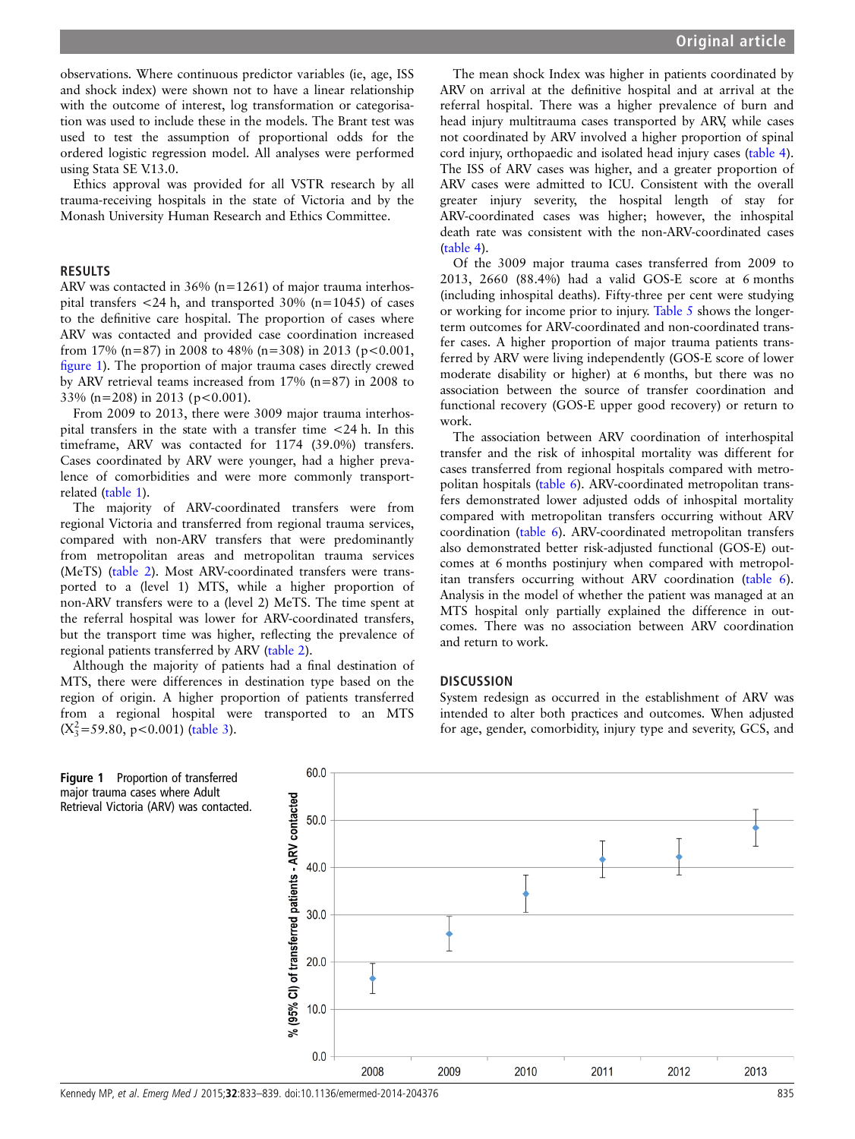observations. Where continuous predictor variables (ie, age, ISS and shock index) were shown not to have a linear relationship with the outcome of interest, log transformation or categorisation was used to include these in the models. The Brant test was used to test the assumption of proportional odds for the ordered logistic regression model. All analyses were performed using Stata SE V.13.0.

Ethics approval was provided for all VSTR research by all trauma-receiving hospitals in the state of Victoria and by the Monash University Human Research and Ethics Committee.

#### **RESULTS**

ARV was contacted in 36% (n=1261) of major trauma interhospital transfers  $\langle 24 \text{ h} \rangle$ , and transported 30% (n=1045) of cases to the definitive care hospital. The proportion of cases where ARV was contacted and provided case coordination increased from 17% (n=87) in 2008 to 48% (n=308) in 2013 (p<0.001, figure 1). The proportion of major trauma cases directly crewed by ARV retrieval teams increased from 17% (n=87) in 2008 to 33% (n=208) in 2013 (p<0.001).

From 2009 to 2013, there were 3009 major trauma interhospital transfers in the state with a transfer time <24 h. In this timeframe, ARV was contacted for 1174 (39.0%) transfers. Cases coordinated by ARV were younger, had a higher prevalence of comorbidities and were more commonly transportrelated [\(table 1](#page-3-0)).

The majority of ARV-coordinated transfers were from regional Victoria and transferred from regional trauma services, compared with non-ARV transfers that were predominantly from metropolitan areas and metropolitan trauma services (MeTS) [\(table 2\)](#page-3-0). Most ARV-coordinated transfers were transported to a (level 1) MTS, while a higher proportion of non-ARV transfers were to a (level 2) MeTS. The time spent at the referral hospital was lower for ARV-coordinated transfers, but the transport time was higher, reflecting the prevalence of regional patients transferred by ARV ([table 2\)](#page-3-0).

Although the majority of patients had a final destination of MTS, there were differences in destination type based on the region of origin. A higher proportion of patients transferred from a regional hospital were transported to an MTS  $(X_3^2 = 59.80, p < 0.001)$  ([table 3\)](#page-3-0).

The mean shock Index was higher in patients coordinated by ARV on arrival at the definitive hospital and at arrival at the referral hospital. There was a higher prevalence of burn and head injury multitrauma cases transported by ARV, while cases not coordinated by ARV involved a higher proportion of spinal cord injury, orthopaedic and isolated head injury cases ([table 4\)](#page-4-0). The ISS of ARV cases was higher, and a greater proportion of ARV cases were admitted to ICU. Consistent with the overall greater injury severity, the hospital length of stay for ARV-coordinated cases was higher; however, the inhospital death rate was consistent with the non-ARV-coordinated cases ([table 4](#page-4-0)).

Of the 3009 major trauma cases transferred from 2009 to 2013, 2660 (88.4%) had a valid GOS-E score at 6 months (including inhospital deaths). Fifty-three per cent were studying or working for income prior to injury. [Table 5](#page-4-0) shows the longerterm outcomes for ARV-coordinated and non-coordinated transfer cases. A higher proportion of major trauma patients transferred by ARV were living independently (GOS-E score of lower moderate disability or higher) at 6 months, but there was no association between the source of transfer coordination and functional recovery (GOS-E upper good recovery) or return to work.

The association between ARV coordination of interhospital transfer and the risk of inhospital mortality was different for cases transferred from regional hospitals compared with metropolitan hospitals ([table 6](#page-5-0)). ARV-coordinated metropolitan transfers demonstrated lower adjusted odds of inhospital mortality compared with metropolitan transfers occurring without ARV coordination [\(table 6](#page-5-0)). ARV-coordinated metropolitan transfers also demonstrated better risk-adjusted functional (GOS-E) outcomes at 6 months postinjury when compared with metropolitan transfers occurring without ARV coordination ([table 6\)](#page-5-0). Analysis in the model of whether the patient was managed at an MTS hospital only partially explained the difference in outcomes. There was no association between ARV coordination and return to work.

## **DISCUSSION**

System redesign as occurred in the establishment of ARV was intended to alter both practices and outcomes. When adjusted for age, gender, comorbidity, injury type and severity, GCS, and

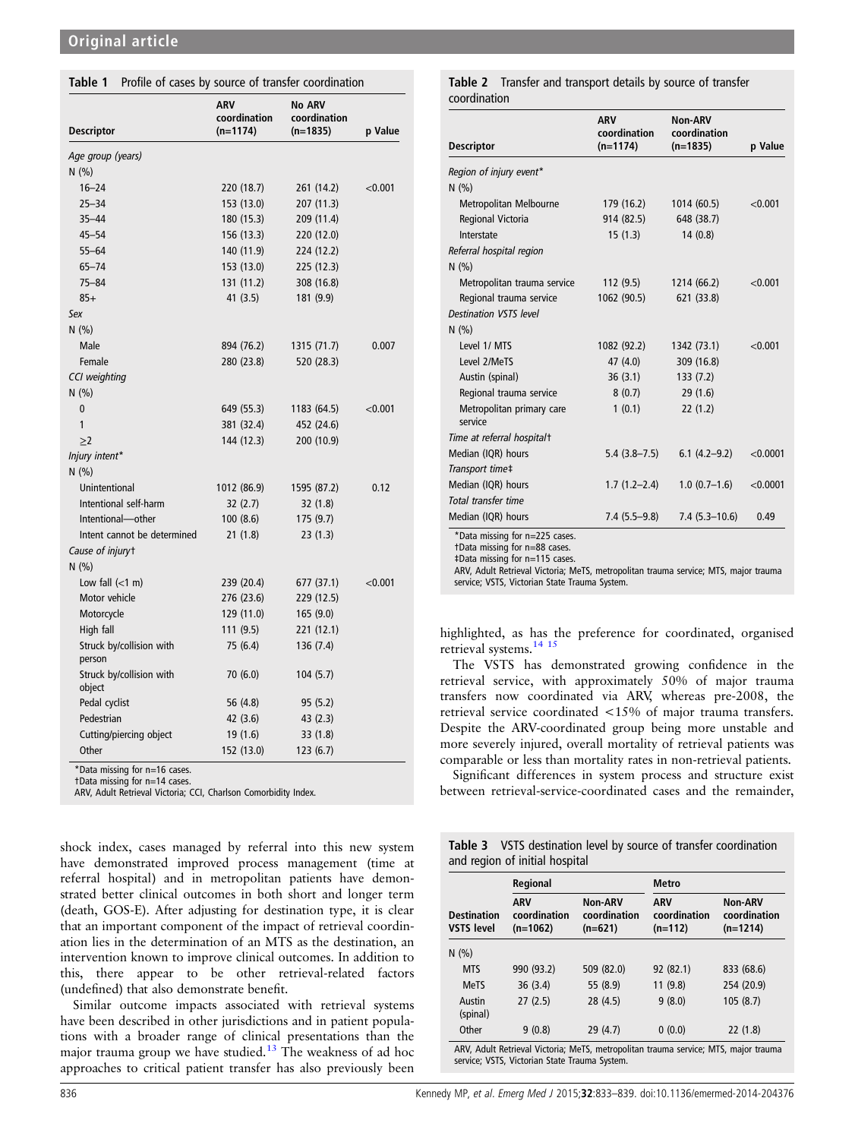#### <span id="page-3-0"></span>Table 1 Profile of cases by source of transfer coordination

| <b>Descriptor</b>                  | ARV<br>coordination<br>(n=1174) | <b>No ARV</b><br>coordination<br>(n=1835) | p Value |
|------------------------------------|---------------------------------|-------------------------------------------|---------|
| Age group (years)                  |                                 |                                           |         |
| N(% )                              |                                 |                                           |         |
| $16 - 24$                          | 220 (18.7)                      | 261 (14.2)                                | < 0.001 |
| $25 - 34$                          | 153(13.0)                       | 207 (11.3)                                |         |
| $35 - 44$                          | 180 (15.3)                      | 209 (11.4)                                |         |
| $45 - 54$                          | 156 (13.3)                      | 220 (12.0)                                |         |
| $55 - 64$                          | 140 (11.9)                      | 224 (12.2)                                |         |
| $65 - 74$                          | 153 (13.0)                      | 225 (12.3)                                |         |
| $75 - 84$                          | 131 (11.2)                      | 308 (16.8)                                |         |
| $85+$                              | 41 (3.5)                        | 181 (9.9)                                 |         |
| Sex                                |                                 |                                           |         |
| N(%                                |                                 |                                           |         |
| Male                               | 894 (76.2)                      | 1315 (71.7)                               | 0.007   |
| Female                             | 280 (23.8)                      | 520 (28.3)                                |         |
| <b>CCI</b> weighting               |                                 |                                           |         |
| N(% )                              |                                 |                                           |         |
| $\mathbf 0$                        | 649 (55.3)                      | 1183 (64.5)                               | < 0.001 |
| 1                                  | 381 (32.4)                      | 452 (24.6)                                |         |
| >2                                 | 144 (12.3)                      | 200 (10.9)                                |         |
| Injury intent*                     |                                 |                                           |         |
| N(% )                              |                                 |                                           |         |
| Unintentional                      | 1012 (86.9)                     | 1595 (87.2)                               | 0.12    |
| Intentional self-harm              | 32 (2.7)                        | 32 (1.8)                                  |         |
| Intentional-other                  | 100(8.6)                        | 175(9.7)                                  |         |
| Intent cannot be determined        | 21 (1.8)                        | 23(1.3)                                   |         |
| Cause of injuryt                   |                                 |                                           |         |
| N(% )                              |                                 |                                           |         |
| Low fall $(<1$ m)                  | 239 (20.4)                      | 677 (37.1)                                | < 0.001 |
| Motor vehicle                      | 276 (23.6)                      | 229 (12.5)                                |         |
| Motorcycle                         | 129 (11.0)                      | 165(9.0)                                  |         |
| High fall                          | 111(9.5)                        | 221 (12.1)                                |         |
| Struck by/collision with           | 75 (6.4)                        | 136 (7.4)                                 |         |
| person                             |                                 |                                           |         |
| Struck by/collision with<br>object | 70 (6.0)                        | 104 (5.7)                                 |         |
| Pedal cyclist                      | 56 (4.8)                        | 95 (5.2)                                  |         |
| Pedestrian                         | 42 (3.6)                        | 43 (2.3)                                  |         |
| Cutting/piercing object            | 19 (1.6)                        | 33 (1.8)                                  |         |
| Other                              | 152 (13.0)                      | 123(6.7)                                  |         |

Data missing for n=16 cases. †Data missing for n=14 cases.

ARV, Adult Retrieval Victoria; CCI, Charlson Comorbidity Index.

shock index, cases managed by referral into this new system have demonstrated improved process management (time at referral hospital) and in metropolitan patients have demonstrated better clinical outcomes in both short and longer term (death, GOS-E). After adjusting for destination type, it is clear that an important component of the impact of retrieval coordination lies in the determination of an MTS as the destination, an intervention known to improve clinical outcomes. In addition to this, there appear to be other retrieval-related factors (undefined) that also demonstrate benefit.

Similar outcome impacts associated with retrieval systems have been described in other jurisdictions and in patient populations with a broader range of clinical presentations than the major trauma group we have studied. $13$  The weakness of ad hoc approaches to critical patient transfer has also previously been

#### Table 2 Transfer and transport details by source of transfer coordination

|                                      | <b>ARV</b><br>coordination | Non-ARV<br>coordination |          |
|--------------------------------------|----------------------------|-------------------------|----------|
| <b>Descriptor</b>                    | $(n=1174)$                 | $(n=1835)$              | p Value  |
| Region of injury event*              |                            |                         |          |
| N(%)                                 |                            |                         |          |
| Metropolitan Melbourne               | 179 (16.2)                 | 1014 (60.5)             | < 0.001  |
| Regional Victoria                    | 914 (82.5)                 | 648 (38.7)              |          |
| Interstate                           | 15(1.3)                    | 14(0.8)                 |          |
| Referral hospital region             |                            |                         |          |
| N(%)                                 |                            |                         |          |
| Metropolitan trauma service          | 112(9.5)                   | 1214 (66.2)             | < 0.001  |
| Regional trauma service              | 1062(90.5)                 | 621 (33.8)              |          |
| <b>Destination VSTS level</b>        |                            |                         |          |
| N(% )                                |                            |                         |          |
| Level 1/ MTS                         | 1082 (92.2)                | 1342 (73.1)             | < 0.001  |
| Level 2/MeTS                         | 47 (4.0)                   | 309 (16.8)              |          |
| Austin (spinal)                      | 36(3.1)                    | 133(7.2)                |          |
| Regional trauma service              | 8(0.7)                     | 29(1.6)                 |          |
| Metropolitan primary care<br>service | 1(0.1)                     | 22(1.2)                 |          |
| Time at referral hospitalt           |                            |                         |          |
| Median (IQR) hours                   | $5.4(3.8 - 7.5)$           | $6.1(4.2-9.2)$          | < 0.0001 |
| Transport time‡                      |                            |                         |          |
| Median (IQR) hours                   | $1.7(1.2 - 2.4)$           | $1.0(0.7-1.6)$          | < 0.0001 |
| Total transfer time                  |                            |                         |          |
| Median (IQR) hours                   | $7.4(5.5-9.8)$             | $7.4(5.3-10.6)$         | 0.49     |

\*Data missing for n=225 cases. †Data missing for n=88 cases.

‡Data missing for n=115 cases.

ARV, Adult Retrieval Victoria; MeTS, metropolitan trauma service; MTS, major trauma service; VSTS, Victorian State Trauma System.

highlighted, as has the preference for coordinated, organised retrieval systems.[14 15](#page-6-0)

The VSTS has demonstrated growing confidence in the retrieval service, with approximately 50% of major trauma transfers now coordinated via ARV, whereas pre-2008, the retrieval service coordinated <15% of major trauma transfers. Despite the ARV-coordinated group being more unstable and more severely injured, overall mortality of retrieval patients was comparable or less than mortality rates in non-retrieval patients.

Significant differences in system process and structure exist between retrieval-service-coordinated cases and the remainder,

| <b>Table 3</b> VSTS destination level by source of transfer coordination |
|--------------------------------------------------------------------------|
| and region of initial hospital                                           |

|                                         | Regional                                 |                                      | <b>Metro</b>                            |                                       |
|-----------------------------------------|------------------------------------------|--------------------------------------|-----------------------------------------|---------------------------------------|
| <b>Destination</b><br><b>VSTS level</b> | <b>ARV</b><br>coordination<br>$(n=1062)$ | Non-ARV<br>coordination<br>$(n=621)$ | <b>ARV</b><br>coordination<br>$(n=112)$ | Non-ARV<br>coordination<br>$(n=1214)$ |
| N(%)                                    |                                          |                                      |                                         |                                       |
| <b>MTS</b>                              | 990 (93.2)                               | 509 (82.0)                           | 92 (82.1)                               | 833 (68.6)                            |
| <b>MeTS</b>                             | 36(3.4)                                  | 55 (8.9)                             | 11(9.8)                                 | 254 (20.9)                            |
| Austin<br>(spinal)                      | 27(2.5)                                  | 28 (4.5)                             | 9(8.0)                                  | 105(8.7)                              |
| Other                                   | 9(0.8)                                   | 29(4.7)                              | 0(0.0)                                  | 22(1.8)                               |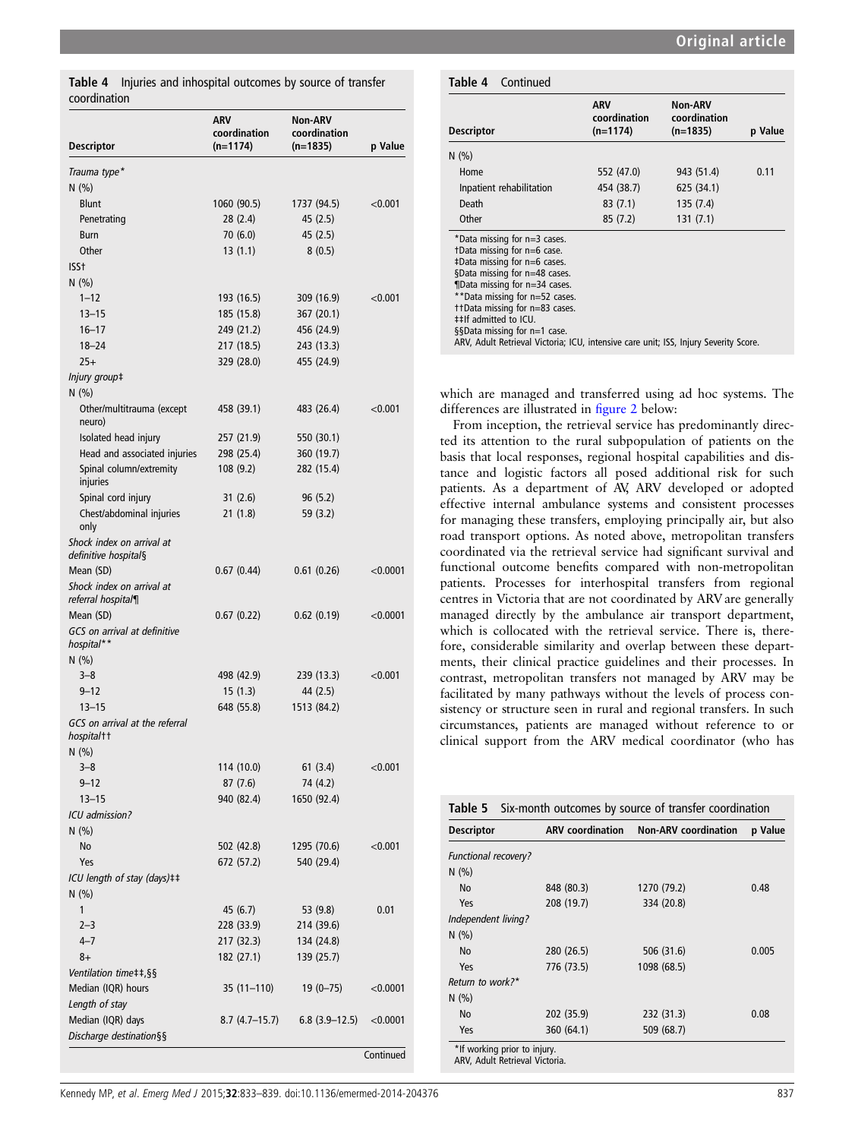<span id="page-4-0"></span>

|              | <b>Table 4</b> Injuries and inhospital outcomes by source of transfer |  |  |
|--------------|-----------------------------------------------------------------------|--|--|
| coordination |                                                                       |  |  |

| <b>Descriptor</b>                               | ARV<br>coordination<br>$(n=1174)$ | <b>Non-ARV</b><br>coordination<br>(n=1835) | p Value        |
|-------------------------------------------------|-----------------------------------|--------------------------------------------|----------------|
| Trauma type*                                    |                                   |                                            |                |
| N(% )                                           |                                   |                                            |                |
| Blunt                                           | 1060 (90.5)                       | 1737 (94.5)                                | < 0.001        |
| Penetrating                                     | 28 (2.4)                          | 45 (2.5)                                   |                |
| Burn                                            | 70(6.0)                           | 45 (2.5)                                   |                |
| Other                                           | 13(1.1)                           | 8(0.5)                                     |                |
| ISS+                                            |                                   |                                            |                |
| N(% )                                           |                                   |                                            |                |
| $1 - 12$                                        | 193 (16.5)                        | 309 (16.9)                                 | < 0.001        |
| $13 - 15$                                       | 185 (15.8)                        | 367 (20.1)                                 |                |
| $16 - 17$                                       | 249 (21.2)                        | 456 (24.9)                                 |                |
| $18 - 24$                                       | 217 (18.5)                        | 243 (13.3)                                 |                |
| $25+$                                           | 329(28.0)                         | 455 (24.9)                                 |                |
| Injury group‡                                   |                                   |                                            |                |
| N(%                                             |                                   |                                            |                |
| Other/multitrauma (except<br>neuro)             | 458 (39.1)                        | 483 (26.4)                                 | $<$ 0.001 $\,$ |
| Isolated head injury                            | 257 (21.9)                        | 550 (30.1)                                 |                |
| Head and associated injuries                    | 298 (25.4)                        | 360 (19.7)                                 |                |
| Spinal column/extremity                         | 108(9.2)                          | 282 (15.4)                                 |                |
| injuries<br>Spinal cord injury                  | 31(2.6)                           | 96(5.2)                                    |                |
| Chest/abdominal injuries                        | 21(1.8)                           | 59 (3.2)                                   |                |
| only<br>Shock index on arrival at               |                                   |                                            |                |
| definitive hospital§                            |                                   |                                            |                |
| Mean (SD)                                       | 0.67(0.44)                        | 0.61(0.26)                                 | ${<}0.0001$    |
| Shock index on arrival at<br>referral hospital¶ |                                   |                                            |                |
| Mean (SD)                                       | 0.67(0.22)                        | 0.62(0.19)                                 | ${<}0.0001$    |
| GCS on arrival at definitive<br>hospital**      |                                   |                                            |                |
| N(%)                                            |                                   |                                            |                |
| $3 - 8$                                         | 498 (42.9)                        | 239 (13.3)                                 | $<$ 0.001      |
| $9 - 12$                                        | 15 (1.3)                          | 44 (2.5)                                   |                |
| $13 - 15$                                       | 648 (55.8)                        | 1513 (84.2)                                |                |
| GCS on arrival at the referral<br>hospital††    |                                   |                                            |                |
| N (%)                                           |                                   |                                            |                |
| $3 - 8$                                         | 114 (10.0)                        | 61(3.4)                                    | < 0.001        |
| $9 - 12$                                        | 87 (7.6)                          | 74 (4.2)                                   |                |
| $13 - 15$                                       | 940 (82.4)                        | 1650 (92.4)                                |                |
| ICU admission?<br>N(% )                         |                                   |                                            |                |
| No                                              | 502 (42.8)                        | 1295 (70.6)                                | < 0.001        |
| Yes                                             | 672 (57.2)                        | 540 (29.4)                                 |                |
| ICU length of stay (days)##                     |                                   |                                            |                |
| N(% )                                           |                                   |                                            |                |
| 1                                               | 45 (6.7)                          | 53 (9.8)                                   | 0.01           |
| $2 - 3$                                         | 228 (33.9)                        | 214 (39.6)                                 |                |
| $4 - 7$                                         | 217 (32.3)                        | 134 (24.8)                                 |                |
| 8+                                              | 182 (27.1)                        | 139 (25.7)                                 |                |
| Ventilation time##,§§                           |                                   |                                            |                |
| Median (IQR) hours                              | $35(11-110)$                      | $19(0 - 75)$                               | $<$ 0.0001     |
| Length of stay                                  |                                   |                                            |                |
| Median (IQR) days                               | 8.7 (4.7–15.7)                    | $6.8$ (3.9–12.5)                           | $<$ 0.0001     |
| Discharge destination§§                         |                                   |                                            |                |
|                                                 |                                   |                                            | Continued      |

# Table 4 Continued

| Descriptor                                                                                                                                                                                                                                                                                                                                                                                 | <b>ARV</b><br>coordination<br>$(n=1174)$ | <b>Non-ARV</b><br>coordination<br>$(n=1835)$ | p Value |
|--------------------------------------------------------------------------------------------------------------------------------------------------------------------------------------------------------------------------------------------------------------------------------------------------------------------------------------------------------------------------------------------|------------------------------------------|----------------------------------------------|---------|
| N(% )                                                                                                                                                                                                                                                                                                                                                                                      |                                          |                                              |         |
| Home                                                                                                                                                                                                                                                                                                                                                                                       | 552 (47.0)                               | 943 (51.4)                                   | 0.11    |
| Inpatient rehabilitation                                                                                                                                                                                                                                                                                                                                                                   | 454 (38.7)                               | 625 (34.1)                                   |         |
| Death                                                                                                                                                                                                                                                                                                                                                                                      | 83(7.1)                                  | 135 (7.4)                                    |         |
| Other                                                                                                                                                                                                                                                                                                                                                                                      | 85(7.2)                                  | 131(7.1)                                     |         |
| *Data missing for n=3 cases.<br>+Data missing for n=6 case.<br>#Data missing for n=6 cases.<br>§Data missing for n=48 cases.<br>$\P$ Data missing for $n=34$ cases.<br>**Data missing for n=52 cases.<br>ttData missing for n=83 cases.<br>##If admitted to ICU.<br>§§Data missing for $n=1$ case.<br>ARV, Adult Retrieval Victoria; ICU, intensive care unit; ISS, Injury Severity Score. |                                          |                                              |         |

which are managed and transferred using ad hoc systems. The differences are illustrated in fi[gure 2](#page-6-0) below:

From inception, the retrieval service has predominantly directed its attention to the rural subpopulation of patients on the basis that local responses, regional hospital capabilities and distance and logistic factors all posed additional risk for such patients. As a department of AV, ARV developed or adopted effective internal ambulance systems and consistent processes for managing these transfers, employing principally air, but also road transport options. As noted above, metropolitan transfers coordinated via the retrieval service had significant survival and functional outcome benefits compared with non-metropolitan patients. Processes for interhospital transfers from regional centres in Victoria that are not coordinated by ARV are generally managed directly by the ambulance air transport department, which is collocated with the retrieval service. There is, therefore, considerable similarity and overlap between these departments, their clinical practice guidelines and their processes. In contrast, metropolitan transfers not managed by ARV may be facilitated by many pathways without the levels of process consistency or structure seen in rural and regional transfers. In such circumstances, patients are managed without reference to or clinical support from the ARV medical coordinator (who has

| <b>Descriptor</b>                                              | <b>ARV</b> coordination | <b>Non-ARV</b> coordination | p Value |
|----------------------------------------------------------------|-------------------------|-----------------------------|---------|
| <b>Functional recovery?</b>                                    |                         |                             |         |
| N(%)                                                           |                         |                             |         |
| No                                                             | 848 (80.3)              | 1270 (79.2)                 | 0.48    |
| Yes                                                            | 208 (19.7)              | 334 (20.8)                  |         |
| Independent living?                                            |                         |                             |         |
| N(%)                                                           |                         |                             |         |
| <b>No</b>                                                      | 280 (26.5)              | 506 (31.6)                  | 0.005   |
| Yes                                                            | 776 (73.5)              | 1098 (68.5)                 |         |
| Return to work?*                                               |                         |                             |         |
| N(%)                                                           |                         |                             |         |
| <b>No</b>                                                      | 202 (35.9)              | 232 (31.3)                  | 0.08    |
| Yes                                                            | 360 (64.1)              | 509 (68.7)                  |         |
| *If working prior to injury.<br>ARV, Adult Retrieval Victoria. |                         |                             |         |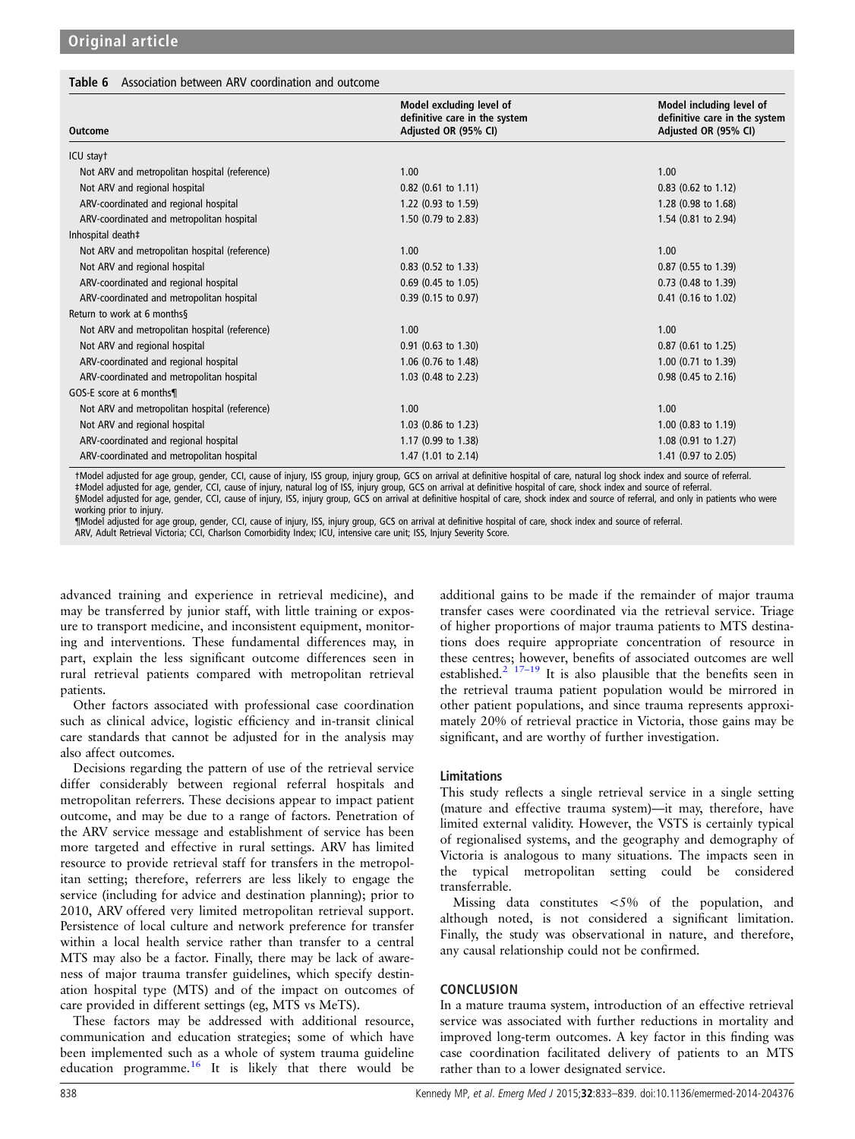#### <span id="page-5-0"></span>Table 6 Association between ARV coordination and outcome

| Outcome                                       | Model excluding level of<br>definitive care in the system<br>Adjusted OR (95% CI) | Model including level of<br>definitive care in the system<br>Adjusted OR (95% CI) |
|-----------------------------------------------|-----------------------------------------------------------------------------------|-----------------------------------------------------------------------------------|
| ICU stayt                                     |                                                                                   |                                                                                   |
| Not ARV and metropolitan hospital (reference) | 1.00                                                                              | 1.00                                                                              |
| Not ARV and regional hospital                 | $0.82$ (0.61 to 1.11)                                                             | $0.83$ (0.62 to 1.12)                                                             |
| ARV-coordinated and regional hospital         | 1.22 (0.93 to 1.59)                                                               | 1.28 (0.98 to 1.68)                                                               |
| ARV-coordinated and metropolitan hospital     | 1.50 (0.79 to 2.83)                                                               | 1.54 (0.81 to 2.94)                                                               |
| Inhospital death‡                             |                                                                                   |                                                                                   |
| Not ARV and metropolitan hospital (reference) | 1.00                                                                              | 1.00                                                                              |
| Not ARV and regional hospital                 | $0.83$ (0.52 to 1.33)                                                             | $0.87$ (0.55 to 1.39)                                                             |
| ARV-coordinated and regional hospital         | $0.69$ (0.45 to 1.05)                                                             | 0.73 (0.48 to 1.39)                                                               |
| ARV-coordinated and metropolitan hospital     | $0.39$ (0.15 to 0.97)                                                             | $0.41$ (0.16 to 1.02)                                                             |
| Return to work at 6 months§                   |                                                                                   |                                                                                   |
| Not ARV and metropolitan hospital (reference) | 1.00                                                                              | 1.00                                                                              |
| Not ARV and regional hospital                 | $0.91$ (0.63 to 1.30)                                                             | $0.87$ (0.61 to 1.25)                                                             |
| ARV-coordinated and regional hospital         | 1.06 (0.76 to 1.48)                                                               | $1.00$ (0.71 to 1.39)                                                             |
| ARV-coordinated and metropolitan hospital     | 1.03 (0.48 to 2.23)                                                               | $0.98$ (0.45 to 2.16)                                                             |
| GOS-E score at 6 months¶                      |                                                                                   |                                                                                   |
| Not ARV and metropolitan hospital (reference) | 1.00                                                                              | 1.00                                                                              |
| Not ARV and regional hospital                 | 1.03 (0.86 to 1.23)                                                               | $1.00$ (0.83 to 1.19)                                                             |
| ARV-coordinated and regional hospital         | 1.17 (0.99 to 1.38)                                                               | 1.08 (0.91 to 1.27)                                                               |
| ARV-coordinated and metropolitan hospital     | 1.47 (1.01 to 2.14)                                                               | 1.41 (0.97 to 2.05)                                                               |

†Model adjusted for age group, gender, CCI, cause of injury, ISS group, injury group, GCS on arrival at definitive hospital of care, natural log shock index and source of referral.<br>‡Model adjusted for age, gender, CCI, ca

working prior to injury.<br>¶Model adjusted for age group, gender, CCI, cause of injury, ISS, injury group, GCS on arrival at definitive hospital of care, shock index and source of referral.

ARV, Adult Retrieval Victoria; CCI, Charlson Comorbidity Index; ICU, intensive care unit; ISS, Injury Severity Score.

advanced training and experience in retrieval medicine), and may be transferred by junior staff, with little training or exposure to transport medicine, and inconsistent equipment, monitoring and interventions. These fundamental differences may, in part, explain the less significant outcome differences seen in rural retrieval patients compared with metropolitan retrieval patients.

Other factors associated with professional case coordination such as clinical advice, logistic efficiency and in-transit clinical care standards that cannot be adjusted for in the analysis may also affect outcomes.

Decisions regarding the pattern of use of the retrieval service differ considerably between regional referral hospitals and metropolitan referrers. These decisions appear to impact patient outcome, and may be due to a range of factors. Penetration of the ARV service message and establishment of service has been more targeted and effective in rural settings. ARV has limited resource to provide retrieval staff for transfers in the metropolitan setting; therefore, referrers are less likely to engage the service (including for advice and destination planning); prior to 2010, ARV offered very limited metropolitan retrieval support. Persistence of local culture and network preference for transfer within a local health service rather than transfer to a central MTS may also be a factor. Finally, there may be lack of awareness of major trauma transfer guidelines, which specify destination hospital type (MTS) and of the impact on outcomes of care provided in different settings (eg, MTS vs MeTS).

These factors may be addressed with additional resource, communication and education strategies; some of which have been implemented such as a whole of system trauma guideline education programme.[16](#page-6-0) It is likely that there would be

additional gains to be made if the remainder of major trauma transfer cases were coordinated via the retrieval service. Triage of higher proportions of major trauma patients to MTS destinations does require appropriate concentration of resource in these centres; however, benefits of associated outcomes are well established.<sup>[2 17](#page-6-0)-19</sup> It is also plausible that the benefits seen in the retrieval trauma patient population would be mirrored in other patient populations, and since trauma represents approximately 20% of retrieval practice in Victoria, those gains may be significant, and are worthy of further investigation.

## Limitations

This study reflects a single retrieval service in a single setting (mature and effective trauma system)—it may, therefore, have limited external validity. However, the VSTS is certainly typical of regionalised systems, and the geography and demography of Victoria is analogous to many situations. The impacts seen in the typical metropolitan setting could be considered transferrable.

Missing data constitutes <5% of the population, and although noted, is not considered a significant limitation. Finally, the study was observational in nature, and therefore, any causal relationship could not be confirmed.

## **CONCLUSION**

In a mature trauma system, introduction of an effective retrieval service was associated with further reductions in mortality and improved long-term outcomes. A key factor in this finding was case coordination facilitated delivery of patients to an MTS rather than to a lower designated service.